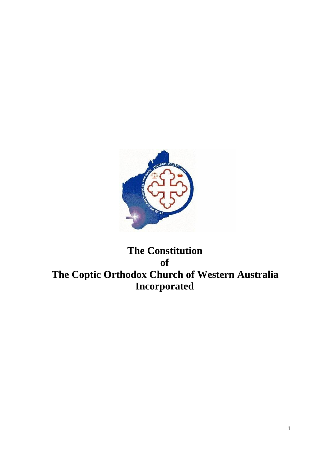

# **The Constitution of The Coptic Orthodox Church of Western Australia Incorporated**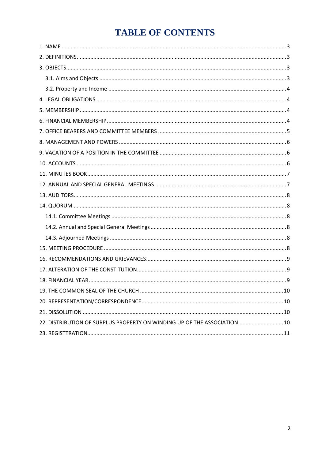# **TABLE OF CONTENTS**

| 22. DISTRIBUTION OF SURPLUS PROPERTY ON WINDING UP OF THE ASSOCIATION  10 |  |
|---------------------------------------------------------------------------|--|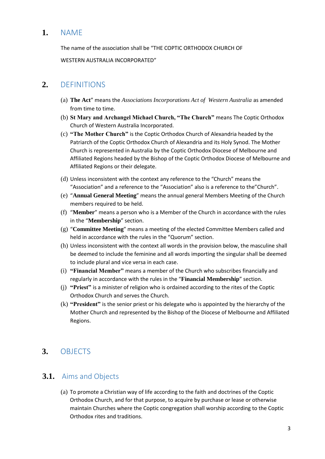### <span id="page-2-0"></span>**1.** NAME

The name of the association shall be "THE COPTIC ORTHODOX CHURCH OF

WESTERN AUSTRALIA INCORPORATED"

### <span id="page-2-1"></span>**2.** DEFINITIONS

- (a) **The Act**" means the *Associations Incorporations Act of Western Australia* as amended from time to time.
- (b) **St Mary and Archangel Michael Church, "The Church"** means The Coptic Orthodox Church of Western Australia Incorporated.
- (c) **"The Mother Church"** is the Coptic Orthodox Church of Alexandria headed by the Patriarch of the Coptic Orthodox Church of Alexandria and its Holy Synod. The Mother Church is represented in Australia by the Coptic Orthodox Diocese of Melbourne and Affiliated Regions headed by the Bishop of the Coptic Orthodox Diocese of Melbourne and Affiliated Regions or their delegate.
- (d) Unless inconsistent with the context any reference to the "Church" means the "Association" and a reference to the "Association" also is a reference to the"Church".
- (e) "**Annual General Meeting**" means the annual general Members Meeting of the Church members required to be held.
- (f) "**Member**" means a person who is a Member of the Church in accordance with the rules in the "**Membership**" section.
- (g) "**Committee Meeting**" means a meeting of the elected Committee Members called and held in accordance with the rules in the "Quorum" section.
- (h) Unless inconsistent with the context all words in the provision below, the masculine shall be deemed to include the feminine and all words importing the singular shall be deemed to include plural and vice versa in each case.
- (i) **"Financial Member"** means a member of the Church who subscribes financially and regularly in accordance with the rules in the "**Financial Membership**" section.
- (j) **"Priest"** is a minister of religion who is ordained according to the rites of the Coptic Orthodox Church and serves the Church.
- (k) **"President"** is the senior priest or his delegate who is appointed by the hierarchy of the Mother Church and represented by the Bishop of the Diocese of Melbourne and Affiliated Regions.

# <span id="page-2-2"></span>**3.** OBJECTS

### <span id="page-2-3"></span>**3.1.** Aims and Objects

(a) To promote a Christian way of life according to the faith and doctrines of the Coptic Orthodox Church, and for that purpose, to acquire by purchase or lease or otherwise maintain Churches where the Coptic congregation shall worship according to the Coptic Orthodox rites and traditions.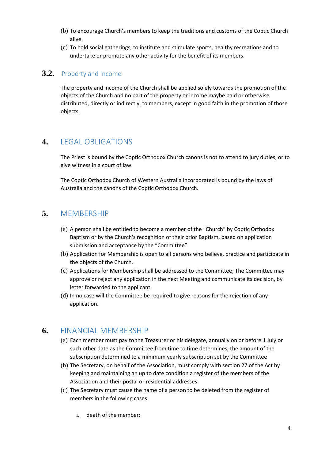- (b) To encourage Church's members to keep the traditions and customs of the Coptic Church alive.
- (c) To hold social gatherings, to institute and stimulate sports, healthy recreations and to undertake or promote any other activity for the benefit of its members.

#### <span id="page-3-0"></span>**3.2.** Property and Income

The property and income of the Church shall be applied solely towards the promotion of the objects of the Church and no part of the property or income maybe paid or otherwise distributed, directly or indirectly, to members, except in good faith in the promotion of those objects.

## <span id="page-3-1"></span>**4.** LEGAL OBLIGATIONS

The Priest is bound by the Coptic Orthodox Church canons is not to attend to jury duties, or to give witness in a court of law.

The Coptic Orthodox Church of Western Australia Incorporated is bound by the laws of Australia and the canons of the Coptic Orthodox Church.

## <span id="page-3-2"></span>**5.** MEMBERSHIP

- (a) A person shall be entitled to become a member of the "Church" by Coptic Orthodox Baptism or by the Church's recognition of their prior Baptism, based on application submission and acceptance by the "Committee".
- (b) Application for Membership is open to all persons who believe, practice and participate in the objects of the Church.
- (c) Applications for Membership shall be addressed to the Committee; The Committee may approve or reject any application in the next Meeting and communicate its decision, by letter forwarded to the applicant.
- (d) In no case will the Committee be required to give reasons for the rejection of any application.

### <span id="page-3-3"></span>**6.** FINANCIAL MEMBERSHIP

- (a) Each member must pay to the Treasurer or his delegate, annually on or before 1 July or such other date as the Committee from time to time determines, the amount of the subscription determined to a minimum yearly subscription set by the Committee
- (b) The Secretary, on behalf of the Association, must comply with section 27 of the Act by keeping and maintaining an up to date condition a register of the members of the Association and their postal or residential addresses.
- (c) The Secretary must cause the name of a person to be deleted from the register of members in the following cases:
	- i. death of the member;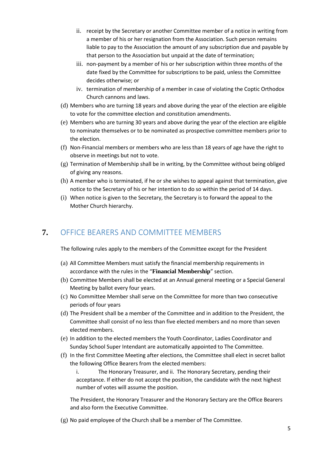- ii. receipt by the Secretary or another Committee member of a notice in writing from a member of his or her resignation from the Association. Such person remains liable to pay to the Association the amount of any subscription due and payable by that person to the Association but unpaid at the date of termination;
- iii. non-payment by a member of his or her subscription within three months of the date fixed by the Committee for subscriptions to be paid, unless the Committee decides otherwise; or
- iv. termination of membership of a member in case of violating the Coptic Orthodox Church cannons and laws.
- (d) Members who are turning 18 years and above during the year of the election are eligible to vote for the committee election and constitution amendments.
- (e) Members who are turning 30 years and above during the year of the election are eligible to nominate themselves or to be nominated as prospective committee members prior to the election.
- (f) Non-Financial members or members who are less than 18 years of age have the right to observe in meetings but not to vote.
- $(g)$  Termination of Membership shall be in writing, by the Committee without being obliged of giving any reasons.
- (h) A member who is terminated, if he or she wishes to appeal against that termination, give notice to the Secretary of his or her intention to do so within the period of 14 days.
- (i) When notice is given to the Secretary, the Secretary is to forward the appeal to the Mother Church hierarchy.

## <span id="page-4-0"></span>**7.** OFFICE BEARERS AND COMMITTEE MEMBERS

The following rules apply to the members of the Committee except for the President

- (a) All Committee Members must satisfy the financial membership requirements in accordance with the rules in the "**Financial Membership**" section.
- (b) Committee Members shall be elected at an Annual general meeting or a Special General Meeting by ballot every four years.
- (c) No Committee Member shall serve on the Committee for more than two consecutive periods of four years
- (d) The President shall be a member of the Committee and in addition to the President, the Committee shall consist of no less than five elected members and no more than seven elected members.
- (e) In addition to the elected members the Youth Coordinator, Ladies Coordinator and Sunday School Super Intendant are automatically appointed to The Committee.
- (f) In the first Committee Meeting after elections, the Committee shall elect in secret ballot the following Office Bearers from the elected members:

i. The Honorary Treasurer, and ii. The Honorary Secretary, pending their acceptance. If either do not accept the position, the candidate with the next highest number of votes will assume the position.

The President, the Honorary Treasurer and the Honorary Sectary are the Office Bearers and also form the Executive Committee.

(g) No paid employee of the Church shall be a member of The Committee.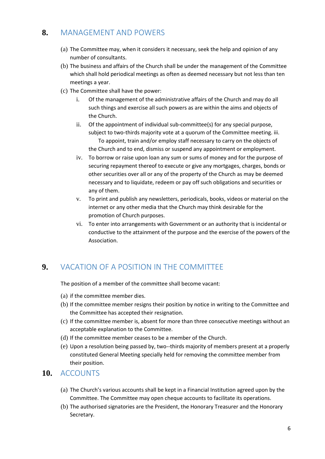## <span id="page-5-0"></span>**8.** MANAGEMENT AND POWERS

- (a) The Committee may, when it considers it necessary, seek the help and opinion of any number of consultants.
- (b) The business and affairs of the Church shall be under the management of the Committee which shall hold periodical meetings as often as deemed necessary but not less than ten meetings a year.
- (c) The Committee shall have the power:
	- i. Of the management of the administrative affairs of the Church and may do all such things and exercise all such powers as are within the aims and objects of the Church.
	- ii. Of the appointment of individual sub-committee(s) for any special purpose, subject to two-thirds majority vote at a quorum of the Committee meeting. iii. To appoint, train and/or employ staff necessary to carry on the objects of the Church and to end, dismiss or suspend any appointment or employment.
	- iv. To borrow or raise upon loan any sum or sums of money and for the purpose of securing repayment thereof to execute or give any mortgages, charges, bonds or other securities over all or any of the property of the Church as may be deemed necessary and to liquidate, redeem or pay off such obligations and securities or any of them.
	- v. To print and publish any newsletters, periodicals, books, videos or material on the internet or any other media that the Church may think desirable for the promotion of Church purposes.
	- vi. To enter into arrangements with Government or an authority that is incidental or conductive to the attainment of the purpose and the exercise of the powers of the Association.

# <span id="page-5-1"></span>**9.** VACATION OF A POSITION IN THE COMMITTEE

The position of a member of the committee shall become vacant:

- (a) if the committee member dies.
- (b) If the committee member resigns their position by notice in writing to the Committee and the Committee has accepted their resignation.
- (c) If the committee member is, absent for more than three consecutive meetings without an acceptable explanation to the Committee.
- (d) If the committee member ceases to be a member of the Church.
- (e) Upon a resolution being passed by, two--thirds majority of members present at a properly constituted General Meeting specially held for removing the committee member from their position.

#### <span id="page-5-2"></span>**10.** ACCOUNTS

- (a) The Church's various accounts shall be kept in a Financial Institution agreed upon by the Committee. The Committee may open cheque accounts to facilitate its operations.
- (b) The authorised signatories are the President, the Honorary Treasurer and the Honorary Secretary.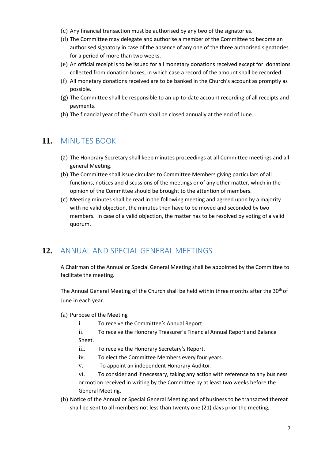- (c) Any financial transaction must be authorised by any two of the signatories.
- (d) The Committee may delegate and authorise a member of the Committee to become an authorised signatory in case of the absence of any one of the three authorised signatories for a period of more than two weeks.
- (e) An official receipt is to be issued for all monetary donations received except for donations collected from donation boxes, in which case a record of the amount shall be recorded.
- (f) All monetary donations received are to be banked in the Church's account as promptly as possible.
- (g) The Committee shall be responsible to an up-to-date account recording of all receipts and payments.
- (h) The financial year of the Church shall be closed annually at the end of June.

### <span id="page-6-0"></span>**11.** MINUTES BOOK

- (a) The Honorary Secretary shall keep minutes proceedings at all Committee meetings and all general Meeting.
- (b) The Committee shall issue circulars to Committee Members giving particulars of all functions, notices and discussions of the meetings or of any other matter, which in the opinion of the Committee should be brought to the attention of members.
- (c) Meeting minutes shall be read in the following meeting and agreed upon by a majority with no valid objection, the minutes then have to be moved and seconded by two members. In case of a valid objection, the matter has to be resolved by voting of a valid quorum.

### <span id="page-6-1"></span>**12.** ANNUAL AND SPECIAL GENERAL MEETINGS

A Chairman of the Annual or Special General Meeting shall be appointed by the Committee to facilitate the meeting.

The Annual General Meeting of the Church shall be held within three months after the 30<sup>th</sup> of June in each year.

- (a) Purpose of the Meeting
	- i. To receive the Committee's Annual Report.
	- ii. To receive the Honorary Treasurer's Financial Annual Report and Balance Sheet.
	- iii. To receive the Honorary Secretary's Report.
	- iv. To elect the Committee Members every four years.
	- v. To appoint an independent Honorary Auditor.

vi. To consider and if necessary, taking any action with reference to any business or motion received in writing by the Committee by at least two weeks before the General Meeting.

(b) Notice of the Annual or Special General Meeting and of business to be transacted thereat shall be sent to all members not less than twenty one (21) days prior the meeting,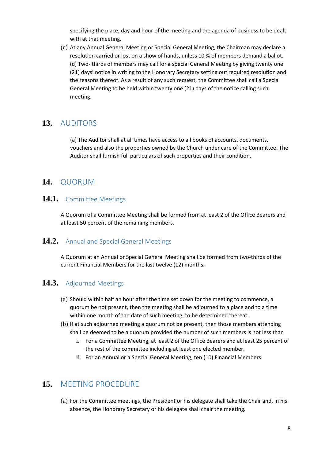specifying the place, day and hour of the meeting and the agenda of business to be dealt with at that meeting.

(c) At any Annual General Meeting or Special General Meeting, the Chairman may declare a resolution carried or lost on a show of hands, unless 10 % of members demand a ballot. (d) Two- thirds of members may call for a special General Meeting by giving twenty one (21) days' notice in writing to the Honorary Secretary setting out required resolution and the reasons thereof. As a result of any such request, the Committee shall call a Special General Meeting to be held within twenty one (21) days of the notice calling such meeting.

#### <span id="page-7-0"></span>**13.** AUDITORS

(a) The Auditor shall at all times have access to all books of accounts, documents, vouchers and also the properties owned by the Church under care of the Committee. The Auditor shall furnish full particulars of such properties and their condition.

#### <span id="page-7-1"></span>**14.** QUORUM

#### <span id="page-7-2"></span>**14.1.** Committee Meetings

A Quorum of a Committee Meeting shall be formed from at least 2 of the Office Bearers and at least 50 percent of the remaining members.

#### <span id="page-7-3"></span>**14.2.** Annual and Special General Meetings

A Quorum at an Annual or Special General Meeting shall be formed from two-thirds of the current Financial Members for the last twelve (12) months.

#### <span id="page-7-4"></span>**14.3.** Adjourned Meetings

- (a) Should within half an hour after the time set down for the meeting to commence, a quorum be not present, then the meeting shall be adjourned to a place and to a time within one month of the date of such meeting, to be determined thereat.
- (b) If at such adjourned meeting a quorum not be present, then those members attending shall be deemed to be a quorum provided the number of such members is not less than
	- i. For a Committee Meeting, at least 2 of the Office Bearers and at least 25 percent of the rest of the committee including at least one elected member.
	- ii. For an Annual or a Special General Meeting, ten (10) Financial Members.

#### <span id="page-7-5"></span>**15.** MEETING PROCEDURE

(a) For the Committee meetings, the President or his delegate shall take the Chair and, in his absence, the Honorary Secretary or his delegate shall chair the meeting.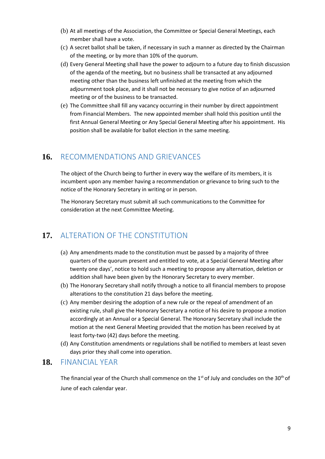- (b) At all meetings of the Association, the Committee or Special General Meetings, each member shall have a vote.
- (c) A secret ballot shall be taken, if necessary in such a manner as directed by the Chairman of the meeting, or by more than 10% of the quorum.
- (d) Every General Meeting shall have the power to adjourn to a future day to finish discussion of the agenda of the meeting, but no business shall be transacted at any adjourned meeting other than the business left unfinished at the meeting from which the adjournment took place, and it shall not be necessary to give notice of an adjourned meeting or of the business to be transacted.
- (e) The Committee shall fill any vacancy occurring in their number by direct appointment from Financial Members. The new appointed member shall hold this position until the first Annual General Meeting or Any Special General Meeting after his appointment. His position shall be available for ballot election in the same meeting.

## <span id="page-8-0"></span>**16.** RECOMMENDATIONS AND GRIEVANCES

The object of the Church being to further in every way the welfare of its members, it is incumbent upon any member having a recommendation or grievance to bring such to the notice of the Honorary Secretary in writing or in person.

The Honorary Secretary must submit all such communications to the Committee for consideration at the next Committee Meeting.

# <span id="page-8-1"></span>**17.** ALTERATION OF THE CONSTITUTION

- (a) Any amendments made to the constitution must be passed by a majority of three quarters of the quorum present and entitled to vote, at a Special General Meeting after twenty one days', notice to hold such a meeting to propose any alternation, deletion or addition shall have been given by the Honorary Secretary to every member.
- (b) The Honorary Secretary shall notify through a notice to all financial members to propose alterations to the constitution 21 days before the meeting.
- (c) Any member desiring the adoption of a new rule or the repeal of amendment of an existing rule, shall give the Honorary Secretary a notice of his desire to propose a motion accordingly at an Annual or a Special General. The Honorary Secretary shall include the motion at the next General Meeting provided that the motion has been received by at least forty-two (42) days before the meeting.
- (d) Any Constitution amendments or regulations shall be notified to members at least seven days prior they shall come into operation.

#### <span id="page-8-2"></span>**18.** FINANCIAL YEAR

The financial year of the Church shall commence on the  $1<sup>st</sup>$  of July and concludes on the 30<sup>th</sup> of June of each calendar year.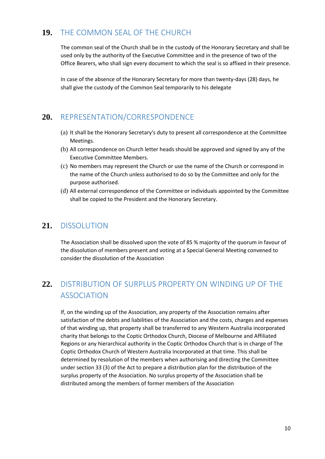## <span id="page-9-0"></span>**19.** THE COMMON SEAL OF THE CHURCH

The common seal of the Church shall be in the custody of the Honorary Secretary and shall be used only by the authority of the Executive Committee and in the presence of two of the Office Bearers, who shall sign every document to which the seal is so affixed in their presence.

In case of the absence of the Honorary Secretary for more than twenty-days (28) days, he shall give the custody of the Common Seal temporarily to his delegate

### <span id="page-9-1"></span>**20.** REPRESENTATION/CORRESPONDENCE

- (a) It shall be the Honorary Secretary's duty to present all correspondence at the Committee Meetings.
- (b) All correspondence on Church letter heads should be approved and signed by any of the Executive Committee Members.
- (c) No members may represent the Church or use the name of the Church or correspond in the name of the Church unless authorised to do so by the Committee and only for the purpose authorised.
- (d) All external correspondence of the Committee or individuals appointed by the Committee shall be copied to the President and the Honorary Secretary.

#### <span id="page-9-2"></span>**21.** DISSOLUTION

The Association shall be dissolved upon the vote of 85 % majority of the quorum in favour of the dissolution of members present and voting at a Special General Meeting convened to consider the dissolution of the Association

# <span id="page-9-3"></span>**22.** DISTRIBUTION OF SURPLUS PROPERTY ON WINDING UP OF THE ASSOCIATION

If, on the winding up of the Association, any property of the Association remains after satisfaction of the debts and liabilities of the Association and the costs, charges and expenses of that winding up, that property shall be transferred to any Western Australia incorporated charity that belongs to the Coptic Orthodox Church, Diocese of Melbourne and Affiliated Regions or any hierarchical authority in the Coptic Orthodox Church that is in charge of The Coptic Orthodox Church of Western Australia Incorporated at that time. This shall be determined by resolution of the members when authorising and directing the Committee under section 33 (3) of the Act to prepare a distribution plan for the distribution of the surplus property of the Association. No surplus property of the Association shall be distributed among the members of former members of the Association